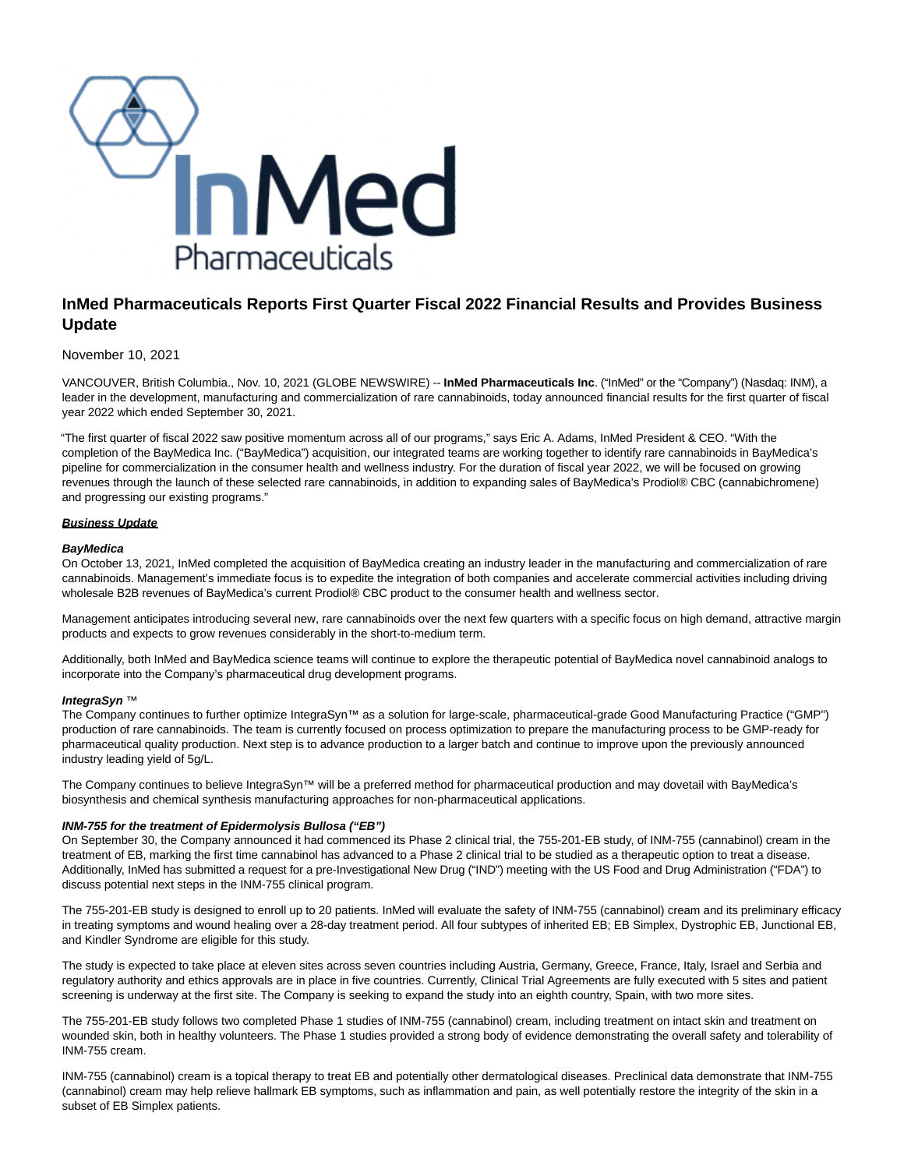

# **InMed Pharmaceuticals Reports First Quarter Fiscal 2022 Financial Results and Provides Business Update**

### November 10, 2021

VANCOUVER, British Columbia., Nov. 10, 2021 (GLOBE NEWSWIRE) -- **InMed Pharmaceuticals Inc**. ("InMed" or the "Company") (Nasdaq: INM), a leader in the development, manufacturing and commercialization of rare cannabinoids, today announced financial results for the first quarter of fiscal year 2022 which ended September 30, 2021.

"The first quarter of fiscal 2022 saw positive momentum across all of our programs," says Eric A. Adams, InMed President & CEO. "With the completion of the BayMedica Inc. ("BayMedica") acquisition, our integrated teams are working together to identify rare cannabinoids in BayMedica's pipeline for commercialization in the consumer health and wellness industry. For the duration of fiscal year 2022, we will be focused on growing revenues through the launch of these selected rare cannabinoids, in addition to expanding sales of BayMedica's Prodiol® CBC (cannabichromene) and progressing our existing programs."

### **Business Update**

### **BayMedica**

On October 13, 2021, InMed completed the acquisition of BayMedica creating an industry leader in the manufacturing and commercialization of rare cannabinoids. Management's immediate focus is to expedite the integration of both companies and accelerate commercial activities including driving wholesale B2B revenues of BayMedica's current Prodiol® CBC product to the consumer health and wellness sector.

Management anticipates introducing several new, rare cannabinoids over the next few quarters with a specific focus on high demand, attractive margin products and expects to grow revenues considerably in the short-to-medium term.

Additionally, both InMed and BayMedica science teams will continue to explore the therapeutic potential of BayMedica novel cannabinoid analogs to incorporate into the Company's pharmaceutical drug development programs.

### **IntegraSyn** ™

The Company continues to further optimize IntegraSyn™ as a solution for large-scale, pharmaceutical-grade Good Manufacturing Practice ("GMP") production of rare cannabinoids. The team is currently focused on process optimization to prepare the manufacturing process to be GMP-ready for pharmaceutical quality production. Next step is to advance production to a larger batch and continue to improve upon the previously announced industry leading yield of 5g/L.

The Company continues to believe IntegraSyn™ will be a preferred method for pharmaceutical production and may dovetail with BayMedica's biosynthesis and chemical synthesis manufacturing approaches for non-pharmaceutical applications.

### **INM-755 for the treatment of Epidermolysis Bullosa ("EB")**

On September 30, the Company announced it had commenced its Phase 2 clinical trial, the 755-201-EB study, of INM-755 (cannabinol) cream in the treatment of EB, marking the first time cannabinol has advanced to a Phase 2 clinical trial to be studied as a therapeutic option to treat a disease. Additionally, InMed has submitted a request for a pre-Investigational New Drug ("IND") meeting with the US Food and Drug Administration ("FDA") to discuss potential next steps in the INM-755 clinical program.

The 755-201-EB study is designed to enroll up to 20 patients. InMed will evaluate the safety of INM-755 (cannabinol) cream and its preliminary efficacy in treating symptoms and wound healing over a 28-day treatment period. All four subtypes of inherited EB; EB Simplex, Dystrophic EB, Junctional EB, and Kindler Syndrome are eligible for this study.

The study is expected to take place at eleven sites across seven countries including Austria, Germany, Greece, France, Italy, Israel and Serbia and regulatory authority and ethics approvals are in place in five countries. Currently, Clinical Trial Agreements are fully executed with 5 sites and patient screening is underway at the first site. The Company is seeking to expand the study into an eighth country, Spain, with two more sites.

The 755-201-EB study follows two completed Phase 1 studies of INM-755 (cannabinol) cream, including treatment on intact skin and treatment on wounded skin, both in healthy volunteers. The Phase 1 studies provided a strong body of evidence demonstrating the overall safety and tolerability of INM-755 cream.

INM-755 (cannabinol) cream is a topical therapy to treat EB and potentially other dermatological diseases. Preclinical data demonstrate that INM-755 (cannabinol) cream may help relieve hallmark EB symptoms, such as inflammation and pain, as well potentially restore the integrity of the skin in a subset of EB Simplex patients.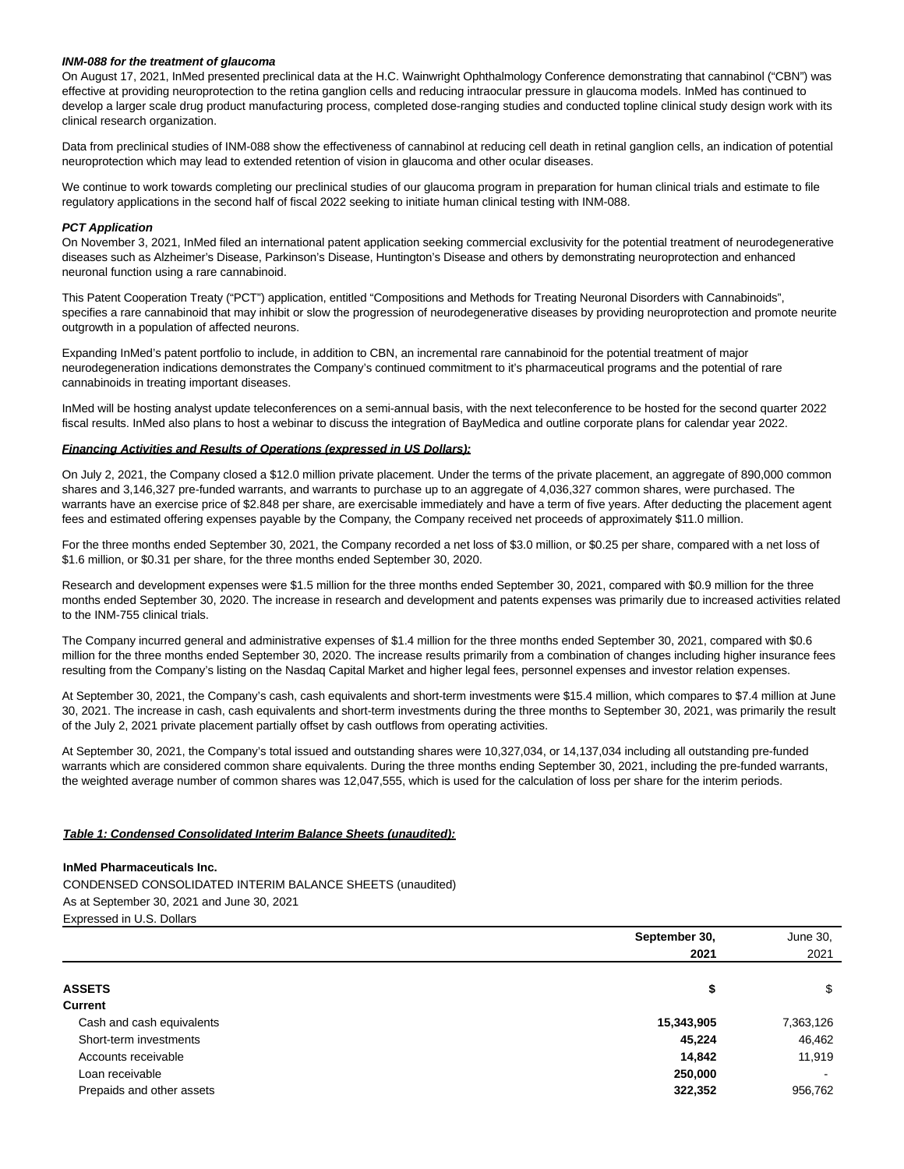#### **INM-088 for the treatment of glaucoma**

On August 17, 2021, InMed presented preclinical data at the H.C. Wainwright Ophthalmology Conference demonstrating that cannabinol ("CBN") was effective at providing neuroprotection to the retina ganglion cells and reducing intraocular pressure in glaucoma models. InMed has continued to develop a larger scale drug product manufacturing process, completed dose-ranging studies and conducted topline clinical study design work with its clinical research organization.

Data from preclinical studies of INM-088 show the effectiveness of cannabinol at reducing cell death in retinal ganglion cells, an indication of potential neuroprotection which may lead to extended retention of vision in glaucoma and other ocular diseases.

We continue to work towards completing our preclinical studies of our glaucoma program in preparation for human clinical trials and estimate to file regulatory applications in the second half of fiscal 2022 seeking to initiate human clinical testing with INM-088.

#### **PCT Application**

On November 3, 2021, InMed filed an international patent application seeking commercial exclusivity for the potential treatment of neurodegenerative diseases such as Alzheimer's Disease, Parkinson's Disease, Huntington's Disease and others by demonstrating neuroprotection and enhanced neuronal function using a rare cannabinoid.

This Patent Cooperation Treaty ("PCT") application, entitled "Compositions and Methods for Treating Neuronal Disorders with Cannabinoids", specifies a rare cannabinoid that may inhibit or slow the progression of neurodegenerative diseases by providing neuroprotection and promote neurite outgrowth in a population of affected neurons.

Expanding InMed's patent portfolio to include, in addition to CBN, an incremental rare cannabinoid for the potential treatment of major neurodegeneration indications demonstrates the Company's continued commitment to it's pharmaceutical programs and the potential of rare cannabinoids in treating important diseases.

InMed will be hosting analyst update teleconferences on a semi-annual basis, with the next teleconference to be hosted for the second quarter 2022 fiscal results. InMed also plans to host a webinar to discuss the integration of BayMedica and outline corporate plans for calendar year 2022.

#### **Financing Activities and Results of Operations (expressed in US Dollars):**

On July 2, 2021, the Company closed a \$12.0 million private placement. Under the terms of the private placement, an aggregate of 890,000 common shares and 3,146,327 pre-funded warrants, and warrants to purchase up to an aggregate of 4,036,327 common shares, were purchased. The warrants have an exercise price of \$2.848 per share, are exercisable immediately and have a term of five years. After deducting the placement agent fees and estimated offering expenses payable by the Company, the Company received net proceeds of approximately \$11.0 million.

For the three months ended September 30, 2021, the Company recorded a net loss of \$3.0 million, or \$0.25 per share, compared with a net loss of \$1.6 million, or \$0.31 per share, for the three months ended September 30, 2020.

Research and development expenses were \$1.5 million for the three months ended September 30, 2021, compared with \$0.9 million for the three months ended September 30, 2020. The increase in research and development and patents expenses was primarily due to increased activities related to the INM-755 clinical trials.

The Company incurred general and administrative expenses of \$1.4 million for the three months ended September 30, 2021, compared with \$0.6 million for the three months ended September 30, 2020. The increase results primarily from a combination of changes including higher insurance fees resulting from the Company's listing on the Nasdaq Capital Market and higher legal fees, personnel expenses and investor relation expenses.

At September 30, 2021, the Company's cash, cash equivalents and short-term investments were \$15.4 million, which compares to \$7.4 million at June 30, 2021. The increase in cash, cash equivalents and short-term investments during the three months to September 30, 2021, was primarily the result of the July 2, 2021 private placement partially offset by cash outflows from operating activities.

At September 30, 2021, the Company's total issued and outstanding shares were 10,327,034, or 14,137,034 including all outstanding pre-funded warrants which are considered common share equivalents. During the three months ending September 30, 2021, including the pre-funded warrants, the weighted average number of common shares was 12,047,555, which is used for the calculation of loss per share for the interim periods.

#### **Table 1: Condensed Consolidated Interim Balance Sheets (unaudited):**

#### **InMed Pharmaceuticals Inc.**

CONDENSED CONSOLIDATED INTERIM BALANCE SHEETS (unaudited) As at September 30, 2021 and June 30, 2021 Expressed in U.S. Dollars

|                           | September 30, | June 30,  |
|---------------------------|---------------|-----------|
|                           | 2021          | 2021      |
| <b>ASSETS</b>             | \$            | \$        |
| <b>Current</b>            |               |           |
| Cash and cash equivalents | 15,343,905    | 7,363,126 |
| Short-term investments    | 45,224        | 46,462    |
| Accounts receivable       | 14.842        | 11,919    |
| Loan receivable           | 250,000       |           |
| Prepaids and other assets | 322,352       | 956,762   |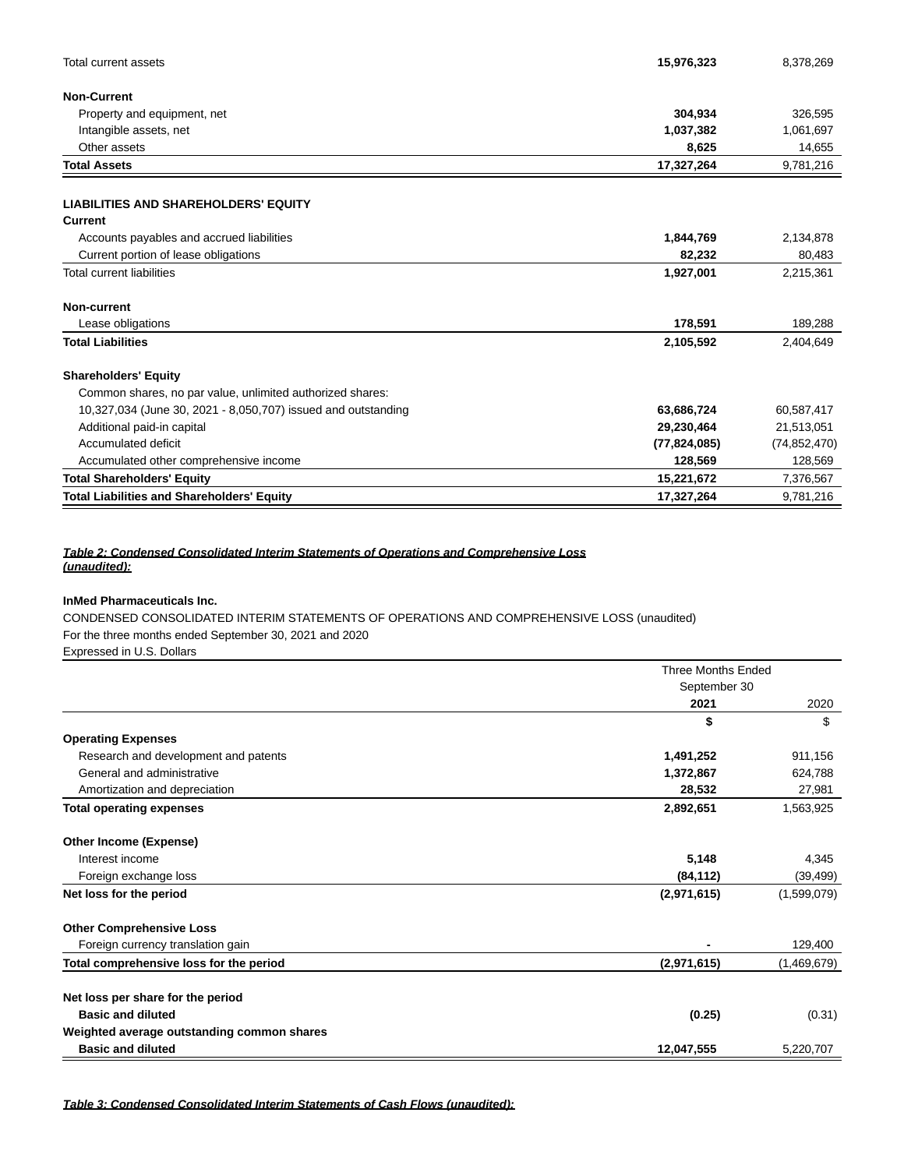| Total current assets                                          | 15,976,323     | 8,378,269      |
|---------------------------------------------------------------|----------------|----------------|
| <b>Non-Current</b>                                            |                |                |
| Property and equipment, net                                   | 304,934        | 326,595        |
| Intangible assets, net                                        | 1,037,382      | 1,061,697      |
| Other assets                                                  | 8,625          | 14,655         |
| <b>Total Assets</b>                                           | 17,327,264     | 9,781,216      |
| <b>LIABILITIES AND SHAREHOLDERS' EQUITY</b>                   |                |                |
| <b>Current</b>                                                |                |                |
| Accounts payables and accrued liabilities                     | 1,844,769      | 2,134,878      |
| Current portion of lease obligations                          | 82,232         | 80,483         |
| <b>Total current liabilities</b>                              | 1,927,001      | 2,215,361      |
| Non-current                                                   |                |                |
| Lease obligations                                             | 178,591        | 189,288        |
| <b>Total Liabilities</b>                                      | 2,105,592      | 2,404,649      |
| <b>Shareholders' Equity</b>                                   |                |                |
| Common shares, no par value, unlimited authorized shares:     |                |                |
| 10,327,034 (June 30, 2021 - 8,050,707) issued and outstanding | 63,686,724     | 60,587,417     |
| Additional paid-in capital                                    | 29,230,464     | 21,513,051     |
| Accumulated deficit                                           | (77, 824, 085) | (74, 852, 470) |
| Accumulated other comprehensive income                        | 128,569        | 128,569        |
| <b>Total Shareholders' Equity</b>                             | 15,221,672     | 7,376,567      |
| <b>Total Liabilities and Shareholders' Equity</b>             | 17,327,264     | 9,781,216      |

# **Table 2: Condensed Consolidated Interim Statements of Operations and Comprehensive Loss (unaudited):**

# **InMed Pharmaceuticals Inc.**

CONDENSED CONSOLIDATED INTERIM STATEMENTS OF OPERATIONS AND COMPREHENSIVE LOSS (unaudited) For the three months ended September 30, 2021 and 2020

Expressed in U.S. Dollars

|                                            | <b>Three Months Ended</b><br>September 30 |             |
|--------------------------------------------|-------------------------------------------|-------------|
|                                            |                                           |             |
|                                            | 2021                                      | 2020        |
|                                            | \$                                        | \$          |
| <b>Operating Expenses</b>                  |                                           |             |
| Research and development and patents       | 1,491,252                                 | 911,156     |
| General and administrative                 | 1,372,867                                 | 624,788     |
| Amortization and depreciation              | 28,532                                    | 27,981      |
| <b>Total operating expenses</b>            | 2,892,651                                 | 1,563,925   |
| Other Income (Expense)                     |                                           |             |
| Interest income                            | 5,148                                     | 4,345       |
| Foreign exchange loss                      | (84, 112)                                 | (39, 499)   |
| Net loss for the period                    | (2,971,615)                               | (1,599,079) |
| <b>Other Comprehensive Loss</b>            |                                           |             |
| Foreign currency translation gain          |                                           | 129,400     |
| Total comprehensive loss for the period    | (2,971,615)                               | (1,469,679) |
| Net loss per share for the period          |                                           |             |
| <b>Basic and diluted</b>                   | (0.25)                                    | (0.31)      |
| Weighted average outstanding common shares |                                           |             |
| <b>Basic and diluted</b>                   | 12,047,555                                | 5,220,707   |

**Table 3: Condensed Consolidated Interim Statements of Cash Flows (unaudited):**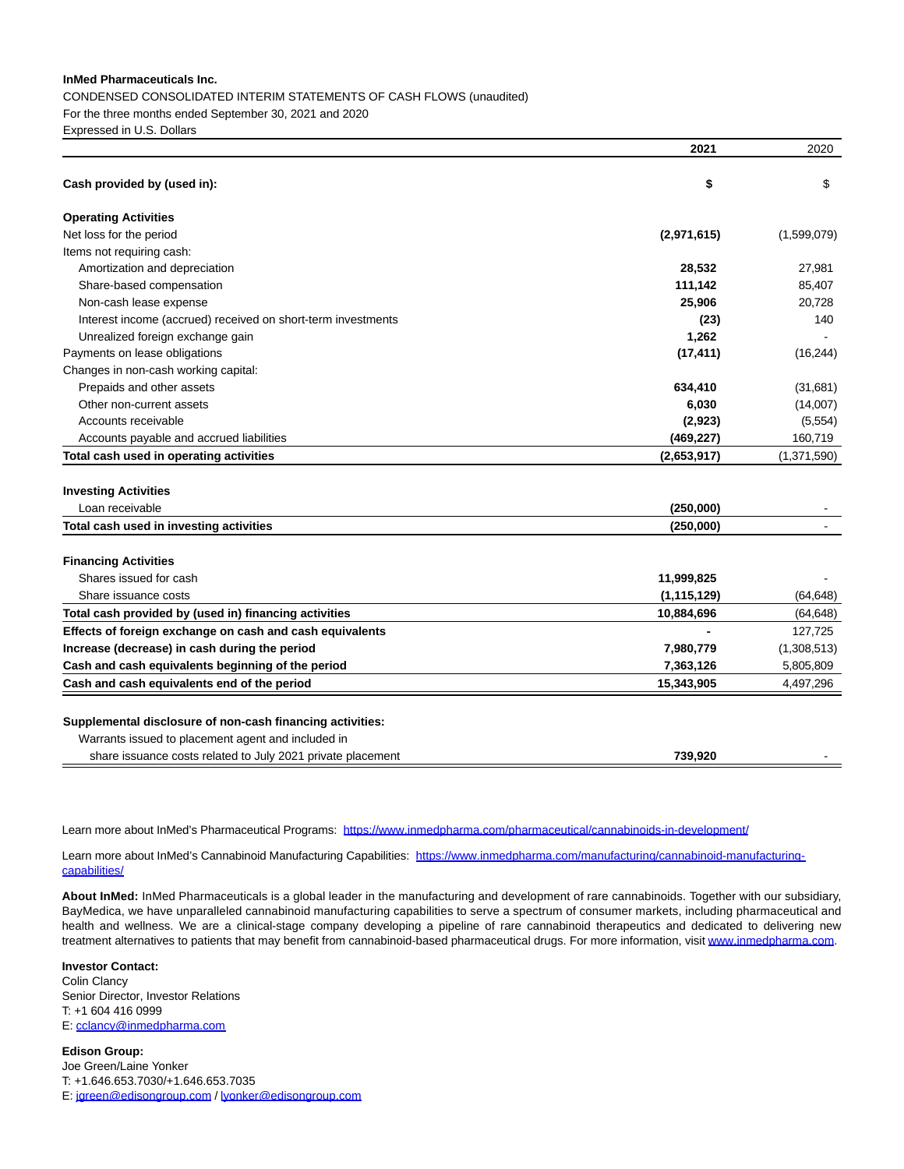### **InMed Pharmaceuticals Inc.**

CONDENSED CONSOLIDATED INTERIM STATEMENTS OF CASH FLOWS (unaudited) For the three months ended September 30, 2021 and 2020 Expressed in U.S. Dollars

|                                                              | 2021          | 2020        |
|--------------------------------------------------------------|---------------|-------------|
| Cash provided by (used in):                                  | \$            | \$          |
| <b>Operating Activities</b>                                  |               |             |
| Net loss for the period                                      | (2,971,615)   | (1,599,079) |
| Items not requiring cash:                                    |               |             |
| Amortization and depreciation                                | 28,532        | 27,981      |
| Share-based compensation                                     | 111,142       | 85,407      |
| Non-cash lease expense                                       | 25,906        | 20,728      |
| Interest income (accrued) received on short-term investments | (23)          | 140         |
| Unrealized foreign exchange gain                             | 1,262         |             |
| Payments on lease obligations                                | (17, 411)     | (16, 244)   |
| Changes in non-cash working capital:                         |               |             |
| Prepaids and other assets                                    | 634,410       | (31,681)    |
| Other non-current assets                                     | 6,030         | (14,007)    |
| Accounts receivable                                          | (2,923)       | (5,554)     |
| Accounts payable and accrued liabilities                     | (469, 227)    | 160,719     |
| Total cash used in operating activities                      | (2,653,917)   | (1,371,590) |
| <b>Investing Activities</b>                                  |               |             |
| Loan receivable                                              | (250,000)     |             |
| Total cash used in investing activities                      | (250,000)     |             |
| <b>Financing Activities</b>                                  |               |             |
| Shares issued for cash                                       | 11,999,825    |             |
| Share issuance costs                                         | (1, 115, 129) | (64, 648)   |
| Total cash provided by (used in) financing activities        | 10,884,696    | (64, 648)   |
| Effects of foreign exchange on cash and cash equivalents     |               | 127,725     |
| Increase (decrease) in cash during the period                | 7,980,779     | (1,308,513) |
| Cash and cash equivalents beginning of the period            | 7,363,126     | 5,805,809   |
| Cash and cash equivalents end of the period                  | 15,343,905    | 4,497,296   |
| Supplemental disclosure of non-cash financing activities:    |               |             |
| Warrants issued to placement agent and included in           |               |             |
| share issuance costs related to July 2021 private placement  | 739.920       |             |

Learn more about InMed's Pharmaceutical Programs: [https://www.inmedpharma.com/pharmaceutical/cannabinoids-in-development/](https://www.globenewswire.com/Tracker?data=5h4smA17jyMAN4nYXZ6cXktzi1o3ET0an0WF758XtrOHaNuy8aQDd1RIrsE6mL8vNVU2rTXje3ViFQroBYIpz_9hTqaHIqtcKLnA2rir-Uf7FddTe3pc-AsEuuqI1TCNl_xRvuUa7EtgDOkAwp9mz-Ob8XSifRrS2QllO2VohwkQzzDcQHkKGW39iYsK8G6JJouts2EPhjh1vZ_yrnJcgU29_dilYm3chLxPBJ6YKu0=)

Learn more about InMed's Cannabinoid Manufacturing Capabilities: [https://www.inmedpharma.com/manufacturing/cannabinoid-manufacturing](https://www.globenewswire.com/Tracker?data=5h4smA17jyMAN4nYXZ6cXktzi1o3ET0an0WF758XtrPTUL22BeDm4XlJOZ1QCCpC16PytCNocQq_j5jFj2eAB9NrW8HWd7L9E9VQr3dT8XoVWJRfQVOeWlasXKxT-FSE2LVYv8Vs84kZDqoQlwZNdBboz0yiHB2eY8cvCOiZAxSvpQAIlkRcHWi23p6mEjGO0QZzUc3JtaJmXSvCNcBrxVznLZsxMKn-NQzbDrl6rbWn6jCBzc3S2qxS0LTyTsT_)capabilities/

**About InMed:** InMed Pharmaceuticals is a global leader in the manufacturing and development of rare cannabinoids. Together with our subsidiary, BayMedica, we have unparalleled cannabinoid manufacturing capabilities to serve a spectrum of consumer markets, including pharmaceutical and health and wellness. We are a clinical-stage company developing a pipeline of rare cannabinoid therapeutics and dedicated to delivering new treatment alternatives to patients that may benefit from cannabinoid-based pharmaceutical drugs. For more information, visit [www.inmedpharma.com.](https://www.globenewswire.com/Tracker?data=q0vianm4t9t-uyC_ROD9WZ5RmdajyiAKOZe0Oafp_fXHPUmvuq2O-dVBaf4F0ooKblt4IgJ14q5gGPHCtbOZjTD5_5cMQW1TB1bJBMloY-0=)

# **Investor Contact:**

Colin Clancy Senior Director, Investor Relations T: +1 604 416 0999 E: [cclancy@inmedpharma.com](https://www.globenewswire.com/Tracker?data=Z6skHcf_hGnimYYFiTVv3GKbdNkd007ujGCE6Jy8hQ-PXINMivGk4ArRTp6gD3sEhpjgFtLVHdIpmi0302_EkbHDJWNErmMj9s-SriaHuss=)

**Edison Group:** Joe Green/Laine Yonker T: +1.646.653.7030/+1.646.653.7035 E: [jgreen@edisongroup.com /](https://www.globenewswire.com/Tracker?data=DazAlCYQq8thMXfup5-xAUOYgRmPlZ0gN1P7E2fBvKqMwjD_n9a_gc7g4uaqtbw0CysQil3j4pXSjXjkNHPnUjHC6wpqmXlC0H5Tn7bwmw8=) [lyonker@edisongroup.com](https://www.globenewswire.com/Tracker?data=k4wG1ntfhHiBjjjlHaAbbUDOu_f__V2dyCLzAqbz4sTONFoIZXO8GXF95aDkkbT6CTPxZZs74cMku5oVjv2eKnFVUX7LysJtdwlURX8a-O0=)